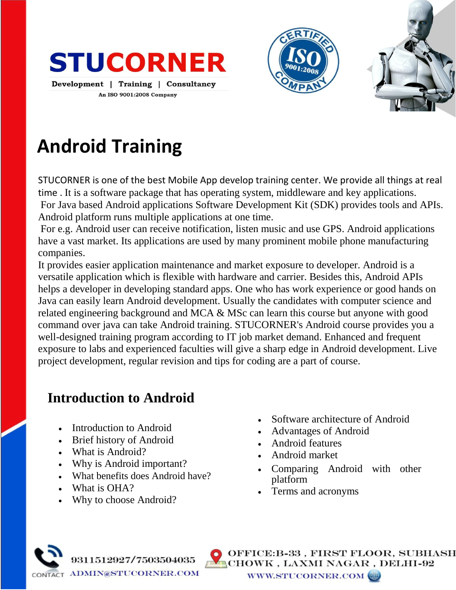





# **Android Training**

STUCORNER is one of the best Mobile App develop training center. We provide all things at real time . It is a software package that has operating system, middleware and key applications. For Java based Android applications Software Development Kit (SDK) provides tools and APIs. Android platform runs multiple applications at one time.

For e.g. Android user can receive notification, listen music and use GPS. Android applications have a vast market. Its applications are used by many prominent mobile phone manufacturing companies.

It provides easier application maintenance and market exposure to developer. Android is a versatile application which is flexible with hardware and carrier. Besides this, Android APIs helps a developer in developing standard apps. One who has work experience or good hands on Java can easily learn Android development. Usually the candidates with computer science and related engineering background and MCA & MSc can learn this course but anyone with good command over java can take Android training. STUCORNER's Android course provides you a well-designed training program according to IT job market demand. Enhanced and frequent exposure to labs and experienced faculties will give a sharp edge in Android development. Live project development, regular revision and tips for coding are a part of course.

# **Introduction to Android**

- Introduction to Android
- Brief history of Android
- What is Android?
- Why is Android important?
- What benefits does Android have?
- What is OHA?
- Why to choose Android?
- Software architecture of Android
- Advantages of Android
- Android features
- Android market
- Comparing Android with other platform
- Terms and acronyms



ICE:B-33 , FIRST FLOOR, SUBHASH OWK , LAXMI NAGAR , DELHI-92 WWW.STUCORNER.COM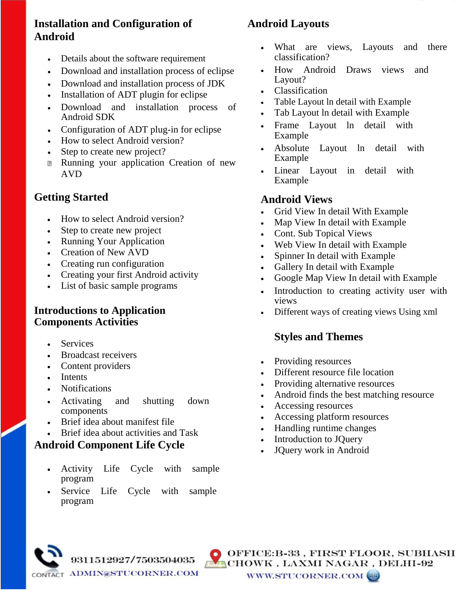#### **Installation and Configuration of Android**

- Details about the software requirement
- Download and installation process of eclipse
- Download and installation process of JDK
- Installation of ADT plugin for eclipse
- Download and installation process of Android SDK
- Configuration of ADT plug-in for eclipse
- How to select Android version?
- Step to create new project?
- **Running your application Creation of new** AVD

#### **Getting Started**

- How to select Android version?
- Step to create new project
- Running Your Application
- Creation of New AVD
- Creating run configuration
- Creating your first Android activity
- List of basic sample programs

#### **Introductions to Application Components Activities**

- **Services**
- Broadcast receivers
- Content providers
- Intents
- **Notifications**
- Activating and shutting down components
- Brief idea about manifest file
- Brief idea about activities and Task

#### **Android Component Life Cycle**

- Activity Life Cycle with sample program
- Service Life Cycle with sample program

9311512927/7503504035

#### **Android Layouts**

- What are views, Layouts and there classification?
- How Android Draws views and Layout?
- Classification
- Table Layout ln detail with Example
- Tab Layout ln detail with Example
- Frame Layout ln detail with Example
- Absolute Layout ln detail with Example
- Linear Layout in detail with Example

#### **Android Views**

- Grid View In detail With Example
- Map View In detail with Example
- Cont. Sub Topical Views
- Web View In detail with Example
- Spinner In detail with Example
- Gallery In detail with Example
- Google Map View In detail with Example
- Introduction to creating activity user with views
- Different ways of creating views Using xml

#### **Styles and Themes**

- Providing resources
- Different resource file location
- Providing alternative resources
- Android finds the best matching resource
- Accessing resources
- Accessing platform resources
- Handling runtime changes
- Introduction to JOuery
- JQuery work in Android



OFFICE:B-33, FIRST FLOOR, SUBHASH CHOWK, LAXMI NAGAR, DELHI-92 WWW.STUCORNER.COM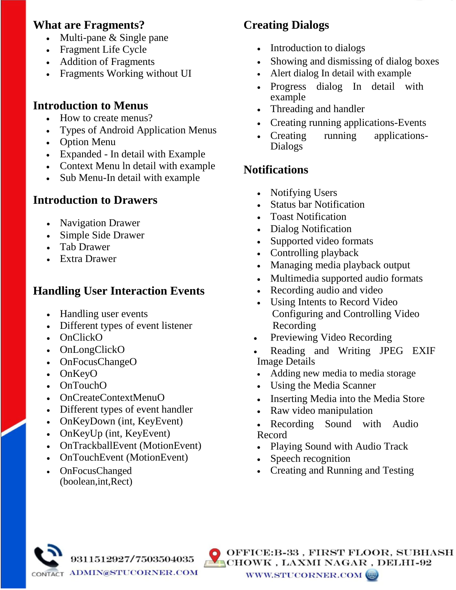## **What are Fragments?**

- Multi-pane & Single pane
- Fragment Life Cycle
- Addition of Fragments
- Fragments Working without UI

## **Introduction to Menus**

- How to create menus?
- Types of Android Application Menus
- Option Menu
- Expanded In detail with Example
- Context Menu ln detail with example
- Sub Menu-In detail with example

## **Introduction to Drawers**

- Navigation Drawer
- Simple Side Drawer
- Tab Drawer
- Extra Drawer

# **Handling User Interaction Events**

- Handling user events
- Different types of event listener
- OnClickO
- OnLongClickO
- OnFocusChangeO
- OnKeyO
- OnTouchO
- OnCreateContextMenuO
- Different types of event handler
- OnKeyDown (int, KeyEvent)
- OnKeyUp (int, KeyEvent)
- OnTrackballEvent (MotionEvent)

9311512927/7503504035

- OnTouchEvent (MotionEvent)
- OnFocusChanged (boolean,int,Rect)

# **Creating Dialogs**

- Introduction to dialogs
- Showing and dismissing of dialog boxes
- Alert dialog In detail with example
- Progress dialog In detail with example
- Threading and handler
- Creating running applications-Events
- Creating running applications-Dialogs

# **Notifications**

- Notifying Users
- Status bar Notification
- Toast Notification
- Dialog Notification
- Supported video formats
- Controlling playback
- Managing media playback output
- Multimedia supported audio formats
- Recording audio and video
- Using Intents to Record Video Configuring and Controlling Video Recording
- Previewing Video Recording
- Reading and Writing JPEG EXIF Image Details
- Adding new media to media storage
- Using the Media Scanner
- Inserting Media into the Media Store
- Raw video manipulation
- Recording Sound with Audio Record
- Playing Sound with Audio Track
- Speech recognition
- Creating and Running and Testing



OFFICE: B-33, FIRST FLOOR, SUBHASH **NORTH CHOWK, LAXMI NAGAR, DELHI-92** WWW.STUCORNER.COM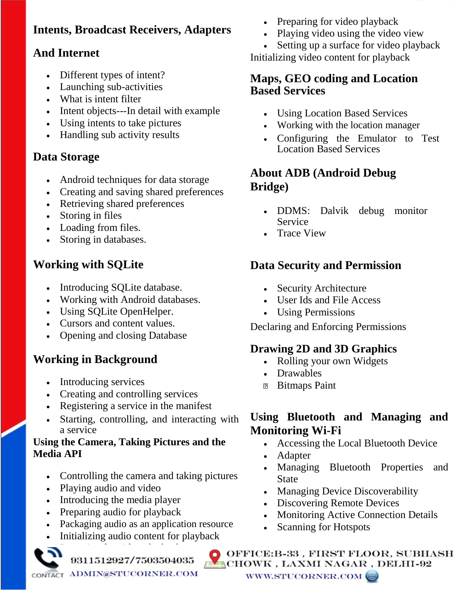# **Intents, Broadcast Receivers, Adapters**

## **And Internet**

- Different types of intent?
- Launching sub-activities
- What is intent filter
- Intent objects---In detail with example
- Using intents to take pictures
- Handling sub activity results

# **Data Storage**

- Android techniques for data storage
- Creating and saving shared preferences
- Retrieving shared preferences
- Storing in files
- Loading from files.
- Storing in databases.

# **Working with SQLite**

- Introducing SQLite database.
- Working with Android databases.
- Using SQLite OpenHelper.
- Cursors and content values.
- Opening and closing Database

# **Working in Background**

- Introducing services
- Creating and controlling services
- Registering a service in the manifest
- Starting, controlling, and interacting with a service

#### **Using the Camera, Taking Pictures and the Media API**

- Controlling the camera and taking pictures
- Playing audio and video
- Introducing the media player
- Preparing audio for playback

Preparing for video playback

- Packaging audio as an application resource
- Initializing audio content for playback

9311512927/7503504035



- Playing video using the video view
- Setting up a surface for video playback

Initializing video content for playback

#### **Maps, GEO coding and Location Based Services**

- Using Location Based Services
- Working with the location manager
- Configuring the Emulator to Test Location Based Services

# **About ADB (Android Debug Bridge)**

- DDMS: Dalvik debug monitor Service
- Trace View

# **Data Security and Permission**

- Security Architecture
- User Ids and File Access
- Using Permissions

Declaring and Enforcing Permissions

# **Drawing 2D and 3D Graphics**

- Rolling your own Widgets
- Drawables
- **B** Bitmaps Paint

## **Using Bluetooth and Managing and Monitoring Wi-Fi**

- Accessing the Local Bluetooth Device
- Adapter
- Managing Bluetooth Properties and State
- Managing Device Discoverability
- Discovering Remote Devices
- Monitoring Active Connection Details
- Scanning for Hotspots

O OFFICE:B-33, FIRST FLOOR, SUBHASH  $\frac{\text{931151292777503504035}}{\text{CMTACT ADMIN@STUCORNER. COM}}$   $\frac{\text{V}}{\text{WWW STUCORNER COM}}$  CONTACT WWW.STUCORNER.COM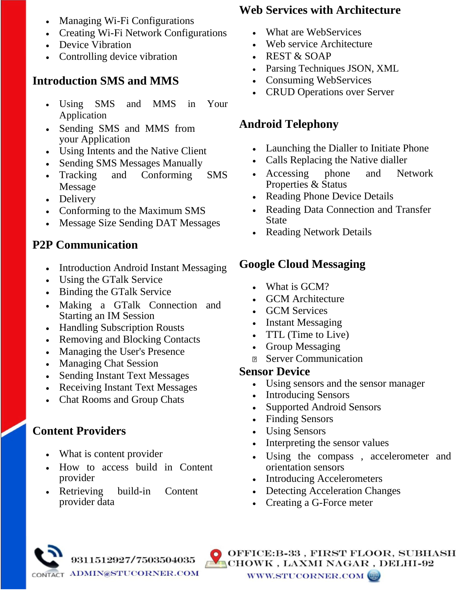- Managing Wi-Fi Configurations
- Creating Wi-Fi Network Configurations
- Device Vibration
- Controlling device vibration

# **Introduction SMS and MMS**

- Using SMS and MMS in Your Application
- Sending SMS and MMS from your Application
- Using Intents and the Native Client
- Sending SMS Messages Manually
- Tracking and Conforming SMS Message
- Delivery
- Conforming to the Maximum SMS
- Message Size Sending DAT Messages

# **P2P Communication**

- Introduction Android Instant Messaging
- Using the GTalk Service
- Binding the GTalk Service
- Making a GTalk Connection and Starting an IM Session
- Handling Subscription Rousts
- Removing and Blocking Contacts
- Managing the User's Presence
- Managing Chat Session
- Sending Instant Text Messages
- Receiving Instant Text Messages
- Chat Rooms and Group Chats

# **Content Providers**

- What is content provider
- How to access build in Content provider
- Retrieving build-in Content provider data

#### **Web Services with Architecture**

- What are WebServices
- Web service Architecture
- REST & SOAP
- Parsing Techniques JSON, XML
- Consuming WebServices
- CRUD Operations over Server

# **Android Telephony**

- Launching the Dialler to Initiate Phone
- Calls Replacing the Native dialler
- Accessing phone and Network Properties & Status
- Reading Phone Device Details
- Reading Data Connection and Transfer **State**
- Reading Network Details

# **Google Cloud Messaging**

- What is GCM?
- GCM Architecture
- GCM Services
- Instant Messaging
- TTL (Time to Live)
- Group Messaging
- **E** Server Communication

#### **Sensor Device**

- Using sensors and the sensor manager
- Introducing Sensors
- Supported Android Sensors
- Finding Sensors
- Using Sensors
- Interpreting the sensor values
- Using the compass , accelerometer and orientation sensors
- Introducing Accelerometers
- Detecting Acceleration Changes
- Creating a G-Force meter



OFFICE:B-33 , FIRST FLOOR, SUBHASH **NORTH CHOWK, LAXMI NAGAR, DELHI-92** WWW.STUCORNER.COM